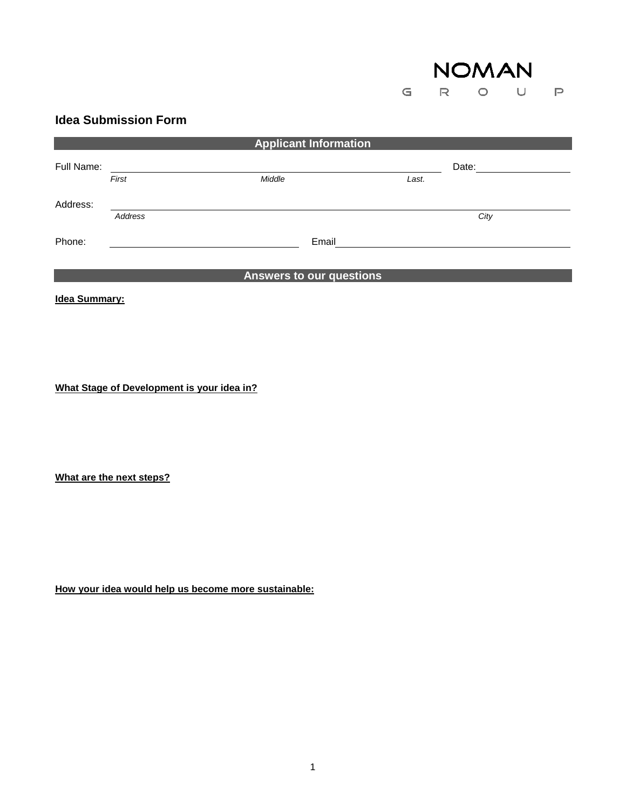

## **Idea Submission Form**

| <b>Applicant Information</b> |         |                          |       |       |  |
|------------------------------|---------|--------------------------|-------|-------|--|
| Full Name:                   |         |                          |       | Date: |  |
|                              | First   | Middle                   | Last. |       |  |
| Address:                     |         |                          |       |       |  |
|                              | Address |                          |       | City  |  |
| Phone:                       |         | Email                    |       |       |  |
|                              |         | Answers to our questions |       |       |  |

**Idea Summary:**

**What Stage of Development is your idea in?**

**What are the next steps?**

**How your idea would help us become more sustainable:**